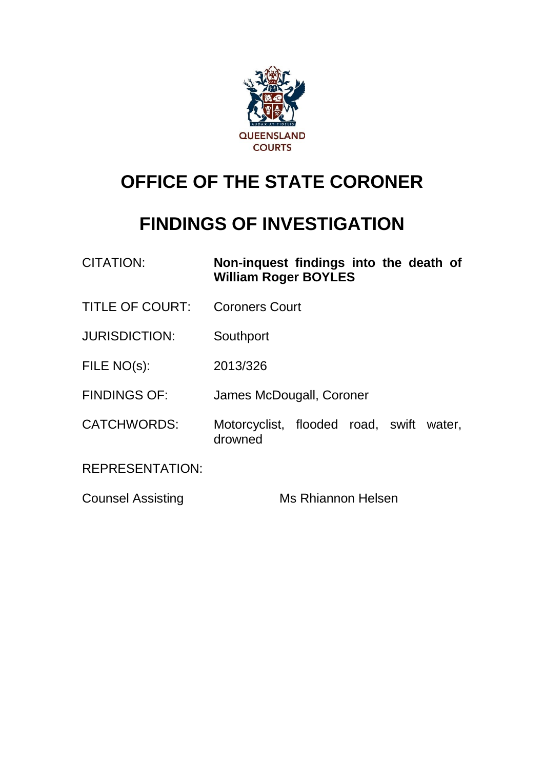

## **OFFICE OF THE STATE CORONER**

## **FINDINGS OF INVESTIGATION**

| <b>CITATION:</b>         | Non-inquest findings into the death of<br><b>William Roger BOYLES</b> |
|--------------------------|-----------------------------------------------------------------------|
| <b>TITLE OF COURT:</b>   | <b>Coroners Court</b>                                                 |
| <b>JURISDICTION:</b>     | Southport                                                             |
| FILE NO(s):              | 2013/326                                                              |
| <b>FINDINGS OF:</b>      | James McDougall, Coroner                                              |
| <b>CATCHWORDS:</b>       | Motorcyclist, flooded road, swift water,<br>drowned                   |
| <b>REPRESENTATION:</b>   |                                                                       |
| <b>Counsel Assisting</b> | <b>Ms Rhiannon Helsen</b>                                             |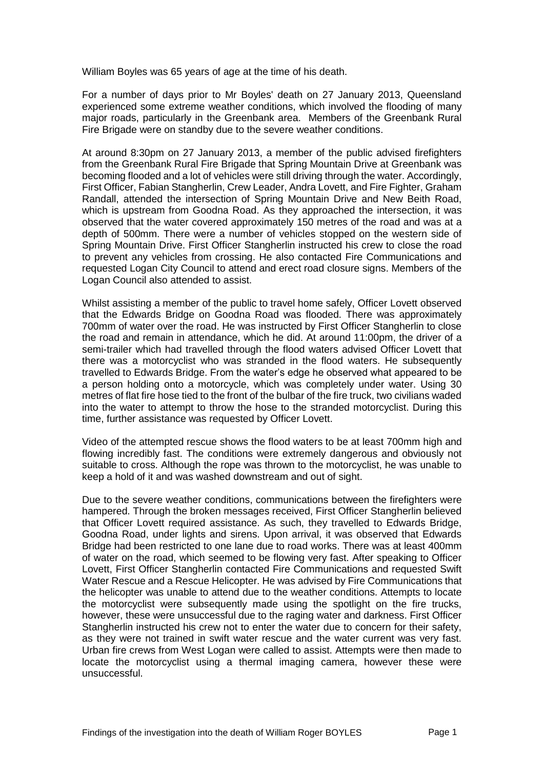William Boyles was 65 years of age at the time of his death.

For a number of days prior to Mr Boyles' death on 27 January 2013, Queensland experienced some extreme weather conditions, which involved the flooding of many major roads, particularly in the Greenbank area. Members of the Greenbank Rural Fire Brigade were on standby due to the severe weather conditions.

At around 8:30pm on 27 January 2013, a member of the public advised firefighters from the Greenbank Rural Fire Brigade that Spring Mountain Drive at Greenbank was becoming flooded and a lot of vehicles were still driving through the water. Accordingly, First Officer, Fabian Stangherlin, Crew Leader, Andra Lovett, and Fire Fighter, Graham Randall, attended the intersection of Spring Mountain Drive and New Beith Road, which is upstream from Goodna Road. As they approached the intersection, it was observed that the water covered approximately 150 metres of the road and was at a depth of 500mm. There were a number of vehicles stopped on the western side of Spring Mountain Drive. First Officer Stangherlin instructed his crew to close the road to prevent any vehicles from crossing. He also contacted Fire Communications and requested Logan City Council to attend and erect road closure signs. Members of the Logan Council also attended to assist.

Whilst assisting a member of the public to travel home safely, Officer Lovett observed that the Edwards Bridge on Goodna Road was flooded. There was approximately 700mm of water over the road. He was instructed by First Officer Stangherlin to close the road and remain in attendance, which he did. At around 11:00pm, the driver of a semi-trailer which had travelled through the flood waters advised Officer Lovett that there was a motorcyclist who was stranded in the flood waters. He subsequently travelled to Edwards Bridge. From the water's edge he observed what appeared to be a person holding onto a motorcycle, which was completely under water. Using 30 metres of flat fire hose tied to the front of the bulbar of the fire truck, two civilians waded into the water to attempt to throw the hose to the stranded motorcyclist. During this time, further assistance was requested by Officer Lovett.

Video of the attempted rescue shows the flood waters to be at least 700mm high and flowing incredibly fast. The conditions were extremely dangerous and obviously not suitable to cross. Although the rope was thrown to the motorcyclist, he was unable to keep a hold of it and was washed downstream and out of sight.

Due to the severe weather conditions, communications between the firefighters were hampered. Through the broken messages received, First Officer Stangherlin believed that Officer Lovett required assistance. As such, they travelled to Edwards Bridge, Goodna Road, under lights and sirens. Upon arrival, it was observed that Edwards Bridge had been restricted to one lane due to road works. There was at least 400mm of water on the road, which seemed to be flowing very fast. After speaking to Officer Lovett, First Officer Stangherlin contacted Fire Communications and requested Swift Water Rescue and a Rescue Helicopter. He was advised by Fire Communications that the helicopter was unable to attend due to the weather conditions. Attempts to locate the motorcyclist were subsequently made using the spotlight on the fire trucks, however, these were unsuccessful due to the raging water and darkness. First Officer Stangherlin instructed his crew not to enter the water due to concern for their safety, as they were not trained in swift water rescue and the water current was very fast. Urban fire crews from West Logan were called to assist. Attempts were then made to locate the motorcyclist using a thermal imaging camera, however these were unsuccessful.